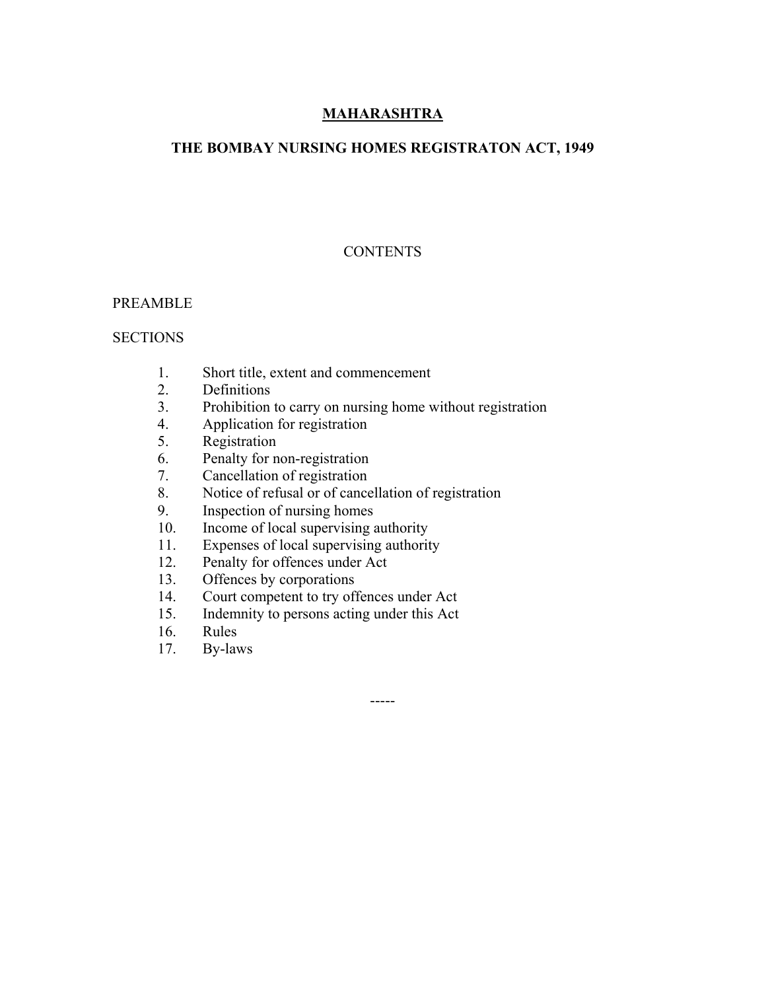# **MAHARASHTRA**

# **THE BOMBAY NURSING HOMES REGISTRATON ACT, 1949**

# **CONTENTS**

### PREAMBLE

### **SECTIONS**

- 1. Short title, extent and commencement
- 2. Definitions
- 3. Prohibition to carry on nursing home without registration

-----

- 4. Application for registration
- 5. Registration
- 6. Penalty for non-registration<br>7. Cancellation of registration
- Cancellation of registration
- 8. Notice of refusal or of cancellation of registration
- 9. Inspection of nursing homes
- 10. Income of local supervising authority
- 11. Expenses of local supervising authority
- 12. Penalty for offences under Act
- 13. Offences by corporations
- 14. Court competent to try offences under Act
- 15. Indemnity to persons acting under this Act
- 16. Rules
- 17. By-laws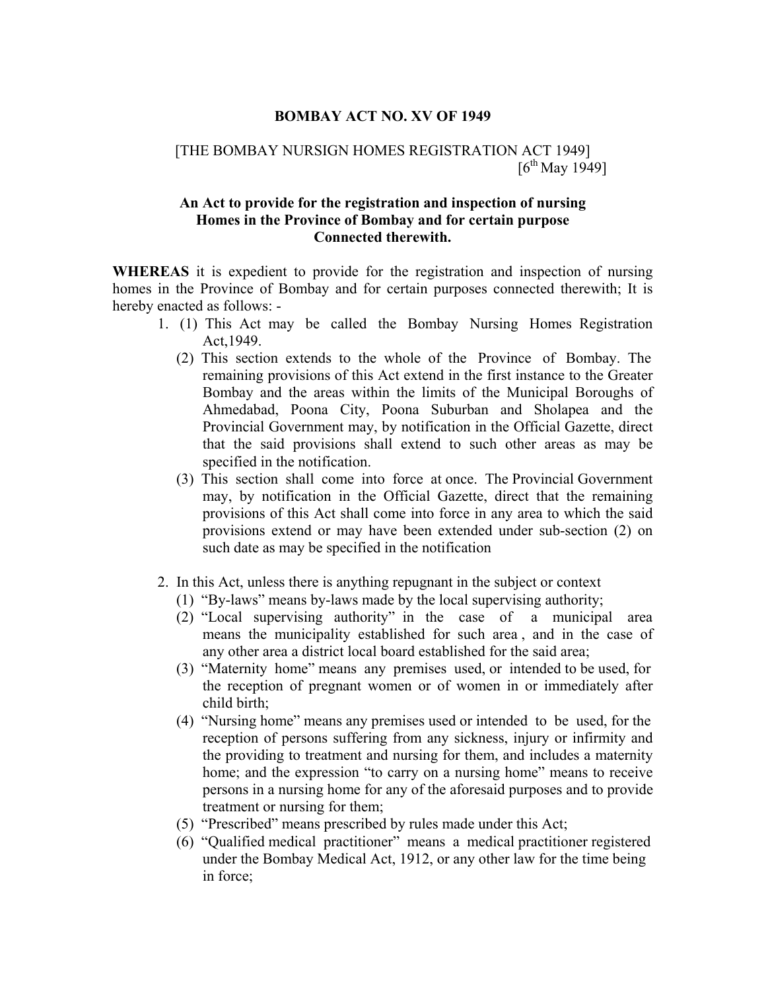#### **BOMBAY ACT NO. XV OF 1949**

### [THE BOMBAY NURSIGN HOMES REGISTRATION ACT 1949]  $[6^{th}$  May 1949]

### **An Act to provide for the registration and inspection of nursing Homes in the Province of Bombay and for certain purpose Connected therewith.**

**WHEREAS** it is expedient to provide for the registration and inspection of nursing homes in the Province of Bombay and for certain purposes connected therewith; It is hereby enacted as follows: -

- 1. (1) This Act may be called the Bombay Nursing Homes Registration Act,1949.
	- (2) This section extends to the whole of the Province of Bombay. The remaining provisions of this Act extend in the first instance to the Greater Bombay and the areas within the limits of the Municipal Boroughs of Ahmedabad, Poona City, Poona Suburban and Sholapea and the Provincial Government may, by notification in the Official Gazette, direct that the said provisions shall extend to such other areas as may be specified in the notification.
	- (3) This section shall come into force at once. The Provincial Government may, by notification in the Official Gazette, direct that the remaining provisions of this Act shall come into force in any area to which the said provisions extend or may have been extended under sub-section (2) on such date as may be specified in the notification
- 2. In this Act, unless there is anything repugnant in the subject or context
	- (1) "By-laws" means by-laws made by the local supervising authority;
	- (2) "Local supervising authority" in the case of a municipal area means the municipality established for such area , and in the case of any other area a district local board established for the said area;
	- (3) "Maternity home" means any premises used, or intended to be used, for the reception of pregnant women or of women in or immediately after child birth;
	- (4) "Nursing home" means any premises used or intended to be used, for the reception of persons suffering from any sickness, injury or infirmity and the providing to treatment and nursing for them, and includes a maternity home; and the expression "to carry on a nursing home" means to receive persons in a nursing home for any of the aforesaid purposes and to provide treatment or nursing for them;
	- (5) "Prescribed" means prescribed by rules made under this Act;
	- (6) "Qualified medical practitioner" means a medical practitioner registered under the Bombay Medical Act, 1912, or any other law for the time being in force;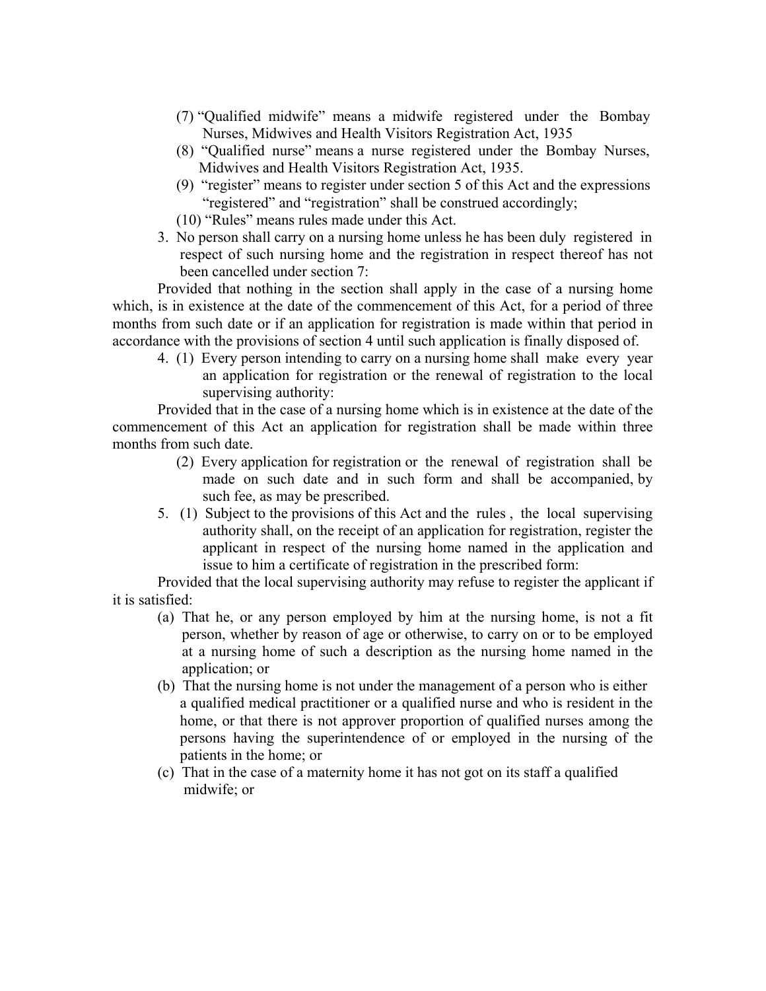- (7) "Qualified midwife" means a midwife registered under the Bombay Nurses, Midwives and Health Visitors Registration Act, 1935
- (8) "Qualified nurse" means a nurse registered under the Bombay Nurses, Midwives and Health Visitors Registration Act, 1935.
- (9) "register" means to register under section 5 of this Act and the expressions "registered" and "registration" shall be construed accordingly;
- (10) "Rules" means rules made under this Act.
- 3. No person shall carry on a nursing home unless he has been duly registered in respect of such nursing home and the registration in respect thereof has not been cancelled under section 7:

 Provided that nothing in the section shall apply in the case of a nursing home which, is in existence at the date of the commencement of this Act, for a period of three months from such date or if an application for registration is made within that period in accordance with the provisions of section 4 until such application is finally disposed of.

 4. (1) Every person intending to carry on a nursing home shall make every year an application for registration or the renewal of registration to the local supervising authority:

 Provided that in the case of a nursing home which is in existence at the date of the commencement of this Act an application for registration shall be made within three months from such date.

- (2) Every application for registration or the renewal of registration shall be made on such date and in such form and shall be accompanied, by such fee, as may be prescribed.
- 5. (1) Subject to the provisions of this Act and the rules , the local supervising authority shall, on the receipt of an application for registration, register the applicant in respect of the nursing home named in the application and issue to him a certificate of registration in the prescribed form:

 Provided that the local supervising authority may refuse to register the applicant if it is satisfied:

- (a) That he, or any person employed by him at the nursing home, is not a fit person, whether by reason of age or otherwise, to carry on or to be employed at a nursing home of such a description as the nursing home named in the application; or
- (b) That the nursing home is not under the management of a person who is either a qualified medical practitioner or a qualified nurse and who is resident in the home, or that there is not approver proportion of qualified nurses among the persons having the superintendence of or employed in the nursing of the patients in the home; or
- (c) That in the case of a maternity home it has not got on its staff a qualified midwife; or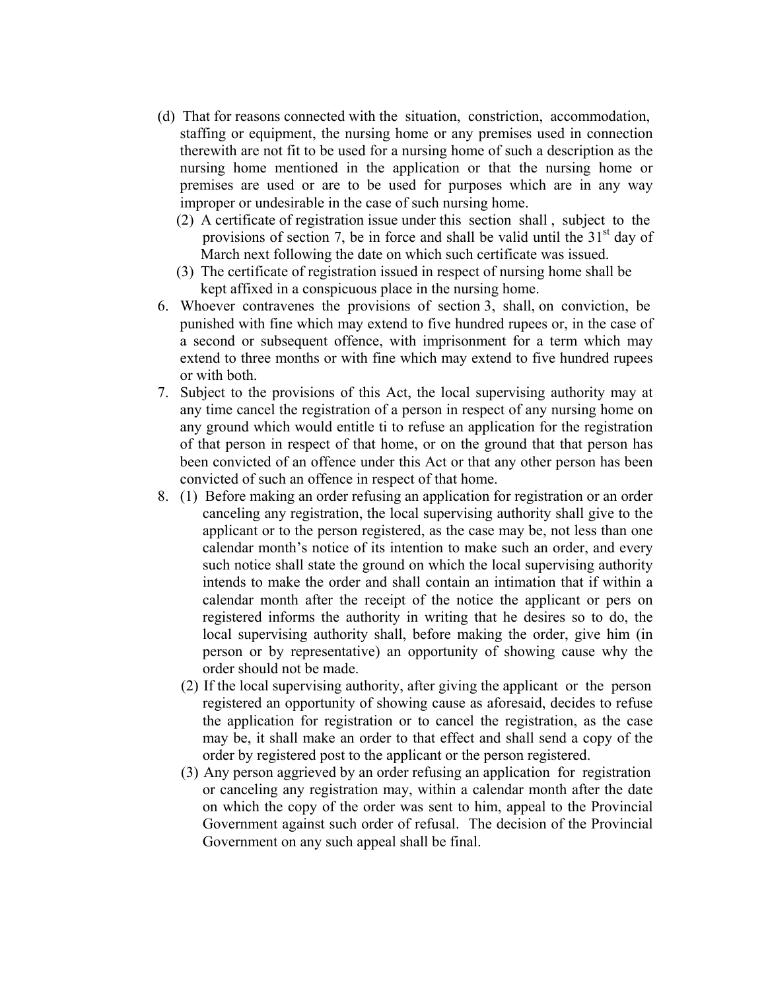- (d) That for reasons connected with the situation, constriction, accommodation, staffing or equipment, the nursing home or any premises used in connection therewith are not fit to be used for a nursing home of such a description as the nursing home mentioned in the application or that the nursing home or premises are used or are to be used for purposes which are in any way improper or undesirable in the case of such nursing home.
	- (2) A certificate of registration issue under this section shall , subject to the provisions of section 7, be in force and shall be valid until the  $31<sup>st</sup>$  day of March next following the date on which such certificate was issued.
	- (3) The certificate of registration issued in respect of nursing home shall be kept affixed in a conspicuous place in the nursing home.
- 6. Whoever contravenes the provisions of section 3, shall, on conviction, be punished with fine which may extend to five hundred rupees or, in the case of a second or subsequent offence, with imprisonment for a term which may extend to three months or with fine which may extend to five hundred rupees or with both.
- 7. Subject to the provisions of this Act, the local supervising authority may at any time cancel the registration of a person in respect of any nursing home on any ground which would entitle ti to refuse an application for the registration of that person in respect of that home, or on the ground that that person has been convicted of an offence under this Act or that any other person has been convicted of such an offence in respect of that home.
- 8. (1) Before making an order refusing an application for registration or an order canceling any registration, the local supervising authority shall give to the applicant or to the person registered, as the case may be, not less than one calendar month's notice of its intention to make such an order, and every such notice shall state the ground on which the local supervising authority intends to make the order and shall contain an intimation that if within a calendar month after the receipt of the notice the applicant or pers on registered informs the authority in writing that he desires so to do, the local supervising authority shall, before making the order, give him (in person or by representative) an opportunity of showing cause why the order should not be made.
	- (2) If the local supervising authority, after giving the applicant or the person registered an opportunity of showing cause as aforesaid, decides to refuse the application for registration or to cancel the registration, as the case may be, it shall make an order to that effect and shall send a copy of the order by registered post to the applicant or the person registered.
	- (3) Any person aggrieved by an order refusing an application for registration or canceling any registration may, within a calendar month after the date on which the copy of the order was sent to him, appeal to the Provincial Government against such order of refusal. The decision of the Provincial Government on any such appeal shall be final.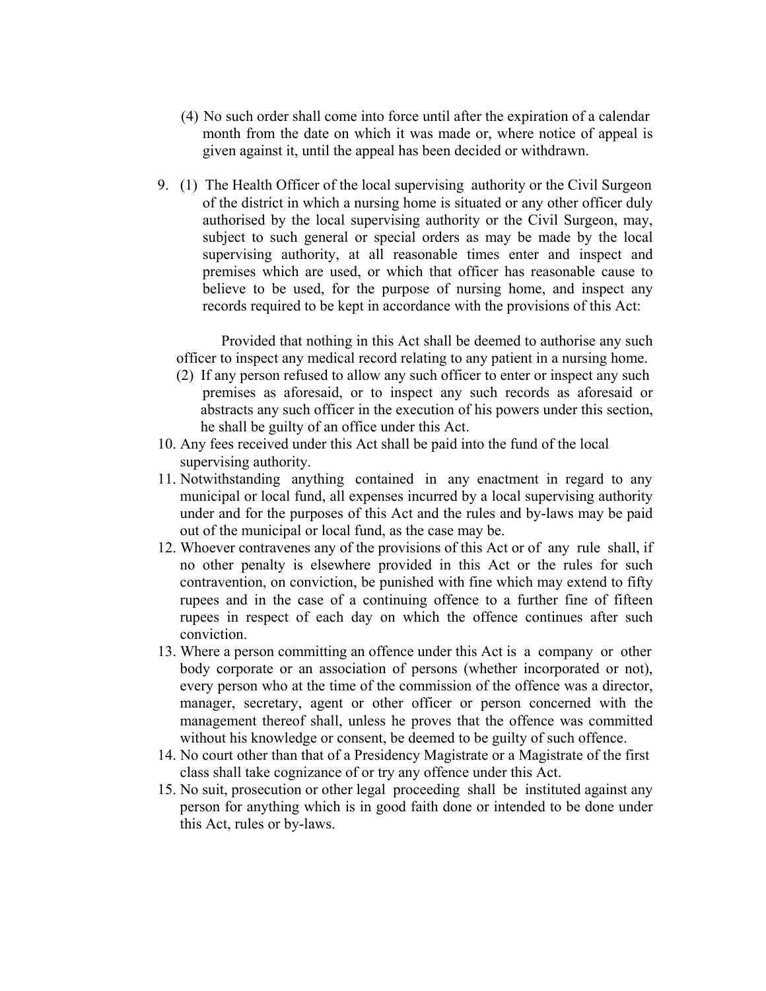- (4) No such order shall come into force until after the expiration of a calendar month from the date on which it was made or, where notice of appeal is given against it, until the appeal has been decided or withdrawn.
- 9. (1) The Health Officer of the local supervising authority or the Civil Surgeon of the district in which a nursing home is situated or any other officer duly authorised by the local supervising authority or the Civil Surgeon, may, subject to such general or special orders as may be made by the local supervising authority, at all reasonable times enter and inspect and premises which are used, or which that officer has reasonable cause to believe to be used, for the purpose of nursing home, and inspect any records required to be kept in accordance with the provisions of this Act:

Provided that nothing in this Act shall be deemed to authorise any such officer to inspect any medical record relating to any patient in a nursing home.

- (2) If any person refused to allow any such officer to enter or inspect any such premises as aforesaid, or to inspect any such records as aforesaid or abstracts any such officer in the execution of his powers under this section, he shall be guilty of an office under this Act.
- 10. Any fees received under this Act shall be paid into the fund of the local supervising authority.
- 11. Notwithstanding anything contained in any enactment in regard to any municipal or local fund, all expenses incurred by a local supervising authority under and for the purposes of this Act and the rules and by-laws may be paid out of the municipal or local fund, as the case may be.
- 12. Whoever contravenes any of the provisions of this Act or of any rule shall, if no other penalty is elsewhere provided in this Act or the rules for such contravention, on conviction, be punished with fine which may extend to fifty rupees and in the case of a continuing offence to a further fine of fifteen rupees in respect of each day on which the offence continues after such conviction.
- 13. Where a person committing an offence under this Act is a company or other body corporate or an association of persons (whether incorporated or not), every person who at the time of the commission of the offence was a director, manager, secretary, agent or other officer or person concerned with the management thereof shall, unless he proves that the offence was committed without his knowledge or consent, be deemed to be guilty of such offence.
- 14. No court other than that of a Presidency Magistrate or a Magistrate of the first class shall take cognizance of or try any offence under this Act.
- 15. No suit, prosecution or other legal proceeding shall be instituted against any person for anything which is in good faith done or intended to be done under this Act, rules or by-laws.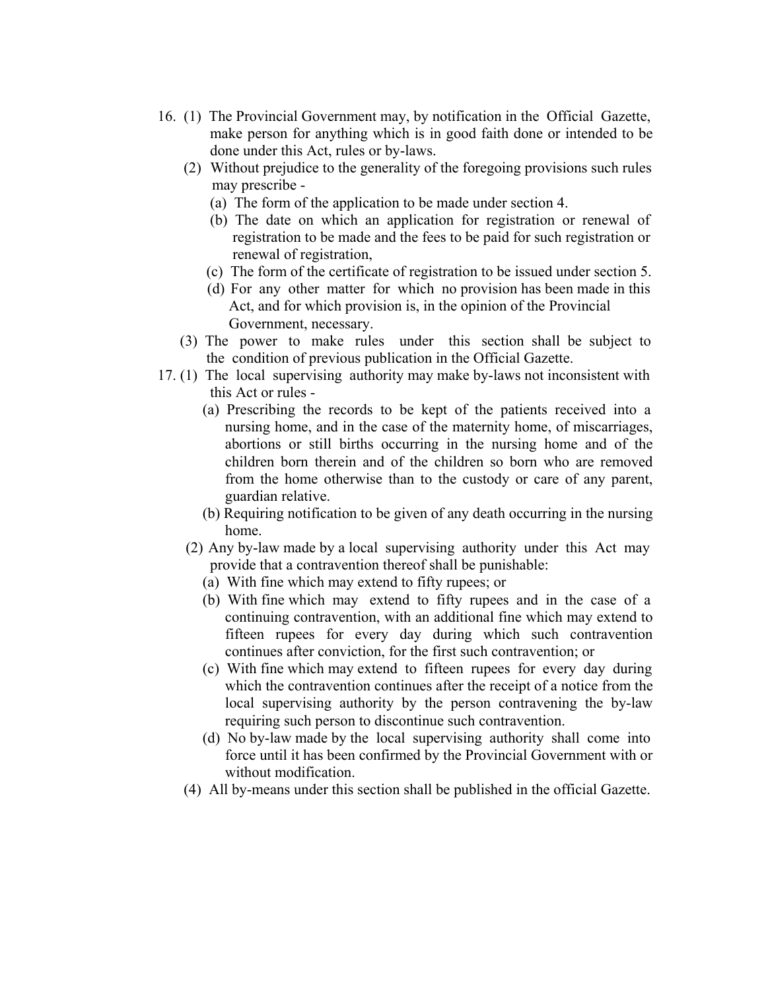- 16. (1) The Provincial Government may, by notification in the Official Gazette, make person for anything which is in good faith done or intended to be done under this Act, rules or by-laws.
	- (2) Without prejudice to the generality of the foregoing provisions such rules may prescribe -
		- (a) The form of the application to be made under section 4.
		- (b) The date on which an application for registration or renewal of registration to be made and the fees to be paid for such registration or renewal of registration,
		- (c) The form of the certificate of registration to be issued under section 5.
		- (d) For any other matter for which no provision has been made in this Act, and for which provision is, in the opinion of the Provincial Government, necessary.
	- (3) The power to make rules under this section shall be subject to the condition of previous publication in the Official Gazette.
- 17. (1) The local supervising authority may make by-laws not inconsistent with this Act or rules -
	- (a) Prescribing the records to be kept of the patients received into a nursing home, and in the case of the maternity home, of miscarriages, abortions or still births occurring in the nursing home and of the children born therein and of the children so born who are removed from the home otherwise than to the custody or care of any parent, guardian relative.
	- (b) Requiring notification to be given of any death occurring in the nursing home.
	- (2) Any by-law made by a local supervising authority under this Act may provide that a contravention thereof shall be punishable:
		- (a) With fine which may extend to fifty rupees; or
		- (b) With fine which may extend to fifty rupees and in the case of a continuing contravention, with an additional fine which may extend to fifteen rupees for every day during which such contravention continues after conviction, for the first such contravention; or
		- (c) With fine which may extend to fifteen rupees for every day during which the contravention continues after the receipt of a notice from the local supervising authority by the person contravening the by-law requiring such person to discontinue such contravention.
		- (d) No by-law made by the local supervising authority shall come into force until it has been confirmed by the Provincial Government with or without modification.
	- (4) All by-means under this section shall be published in the official Gazette.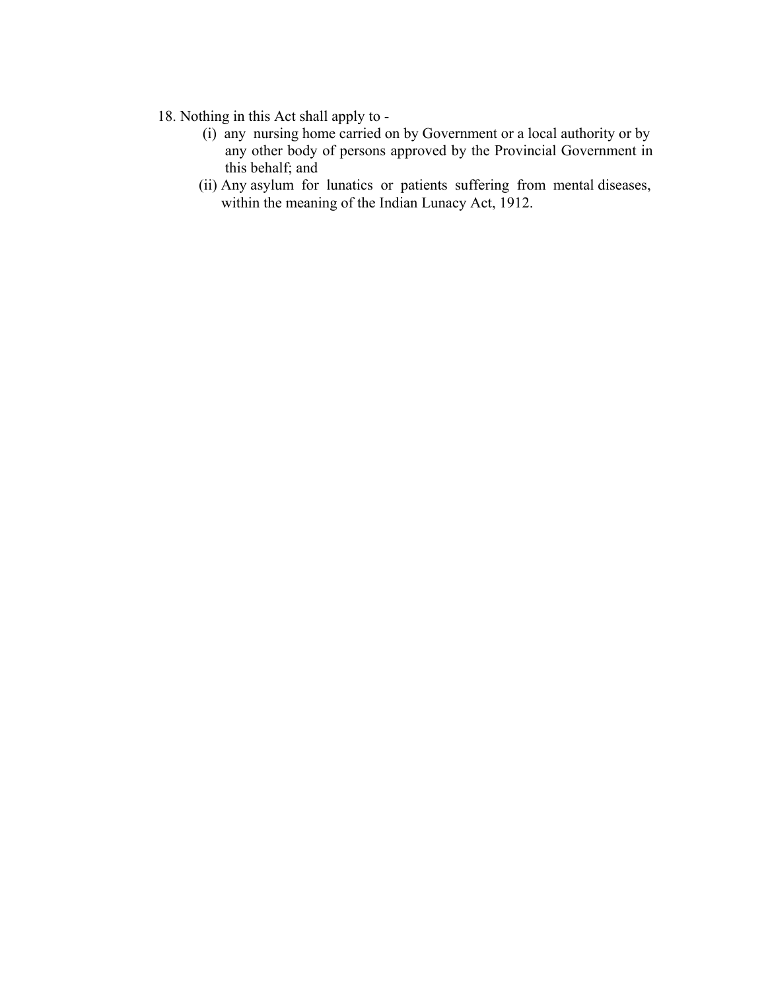- 18. Nothing in this Act shall apply to -
- (i) any nursing home carried on by Government or a local authority or by any other body of persons approved by the Provincial Government in this behalf; and
	- (ii) Any asylum for lunatics or patients suffering from mental diseases, within the meaning of the Indian Lunacy Act, 1912.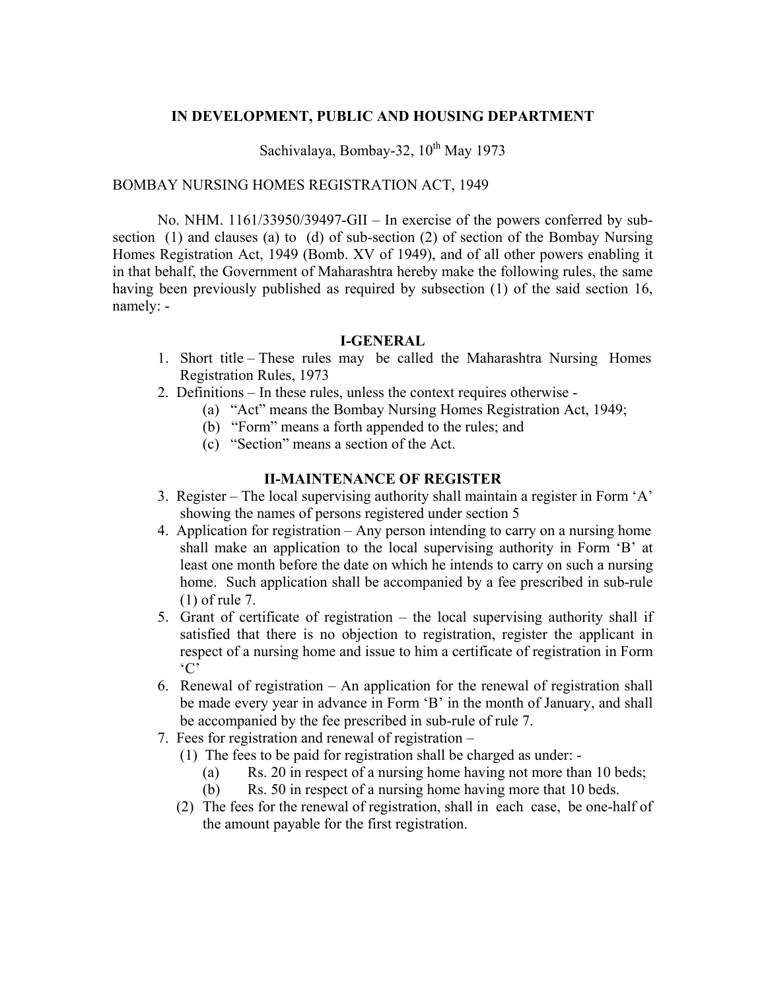### **IN DEVELOPMENT, PUBLIC AND HOUSING DEPARTMENT**

Sachivalaya, Bombay-32,  $10^{th}$  May 1973

### BOMBAY NURSING HOMES REGISTRATION ACT, 1949

 No. NHM. 1161/33950/39497-GII – In exercise of the powers conferred by subsection (1) and clauses (a) to (d) of sub-section (2) of section of the Bombay Nursing Homes Registration Act, 1949 (Bomb. XV of 1949), and of all other powers enabling it in that behalf, the Government of Maharashtra hereby make the following rules, the same having been previously published as required by subsection (1) of the said section 16, namely: -

# **I-GENERAL**

- 1. Short title These rules may be called the Maharashtra Nursing Homes Registration Rules, 1973
- 2. Definitions In these rules, unless the context requires otherwise
	- (a) "Act" means the Bombay Nursing Homes Registration Act, 1949;
	- (b) "Form" means a forth appended to the rules; and
	- (c) "Section" means a section of the Act.

### **II-MAINTENANCE OF REGISTER**

- 3. Register The local supervising authority shall maintain a register in Form 'A' showing the names of persons registered under section 5
- 4. Application for registration Any person intending to carry on a nursing home shall make an application to the local supervising authority in Form 'B' at least one month before the date on which he intends to carry on such a nursing home. Such application shall be accompanied by a fee prescribed in sub-rule (1) of rule 7.
- 5. Grant of certificate of registration the local supervising authority shall if satisfied that there is no objection to registration, register the applicant in respect of a nursing home and issue to him a certificate of registration in Form 'C'
- 6. Renewal of registration An application for the renewal of registration shall be made every year in advance in Form 'B' in the month of January, and shall be accompanied by the fee prescribed in sub-rule of rule 7.
- 7. Fees for registration and renewal of registration
	- (1) The fees to be paid for registration shall be charged as under:
		- (a) Rs. 20 in respect of a nursing home having not more than 10 beds;
		- (b) Rs. 50 in respect of a nursing home having more that 10 beds.
	- (2) The fees for the renewal of registration, shall in each case, be one-half of the amount payable for the first registration.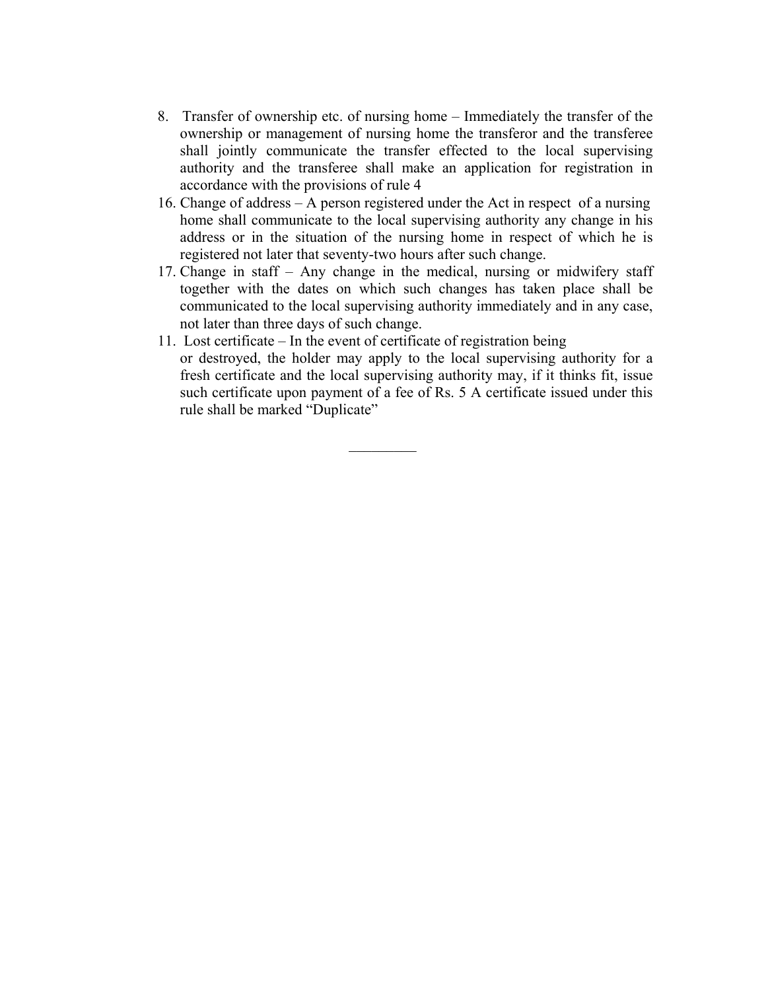- 8. Transfer of ownership etc. of nursing home Immediately the transfer of the ownership or management of nursing home the transferor and the transferee shall jointly communicate the transfer effected to the local supervising authority and the transferee shall make an application for registration in accordance with the provisions of rule 4
- 16. Change of address A person registered under the Act in respect of a nursing home shall communicate to the local supervising authority any change in his address or in the situation of the nursing home in respect of which he is registered not later that seventy-two hours after such change.
- 17. Change in staff Any change in the medical, nursing or midwifery staff together with the dates on which such changes has taken place shall be communicated to the local supervising authority immediately and in any case, not later than three days of such change.
- 11. Lost certificate In the event of certificate of registration being or destroyed, the holder may apply to the local supervising authority for a fresh certificate and the local supervising authority may, if it thinks fit, issue such certificate upon payment of a fee of Rs. 5 A certificate issued under this rule shall be marked "Duplicate"

 $\frac{1}{2}$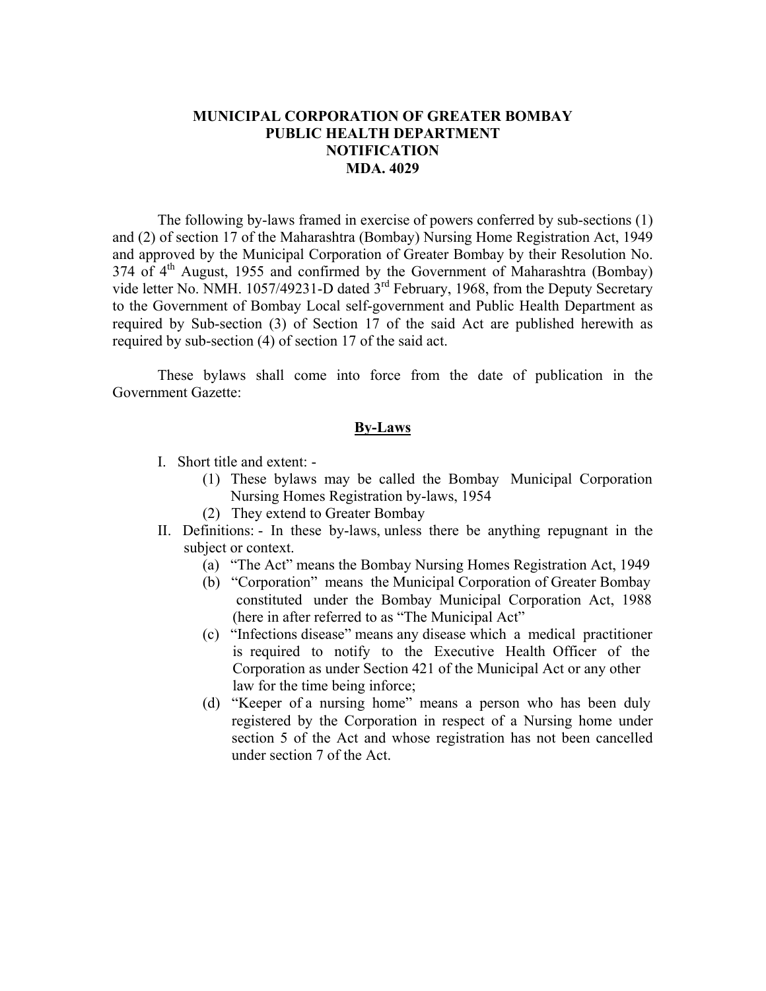# **MUNICIPAL CORPORATION OF GREATER BOMBAY PUBLIC HEALTH DEPARTMENT NOTIFICATION MDA. 4029**

 The following by-laws framed in exercise of powers conferred by sub-sections (1) and (2) of section 17 of the Maharashtra (Bombay) Nursing Home Registration Act, 1949 and approved by the Municipal Corporation of Greater Bombay by their Resolution No. 374 of 4<sup>th</sup> August, 1955 and confirmed by the Government of Maharashtra (Bombay) vide letter No. NMH. 1057/49231-D dated 3<sup>rd</sup> February, 1968, from the Deputy Secretary to the Government of Bombay Local self-government and Public Health Department as required by Sub-section (3) of Section 17 of the said Act are published herewith as required by sub-section (4) of section 17 of the said act.

 These bylaws shall come into force from the date of publication in the Government Gazette:

### **By-Laws**

- I. Short title and extent:
	- (1) These bylaws may be called the Bombay Municipal Corporation Nursing Homes Registration by-laws, 1954
	- (2) They extend to Greater Bombay
- II. Definitions: In these by-laws, unless there be anything repugnant in the subject or context.
	- (a) "The Act" means the Bombay Nursing Homes Registration Act, 1949
	- (b) "Corporation" means the Municipal Corporation of Greater Bombay constituted under the Bombay Municipal Corporation Act, 1988 (here in after referred to as "The Municipal Act"
	- (c) "Infections disease" means any disease which a medical practitioner is required to notify to the Executive Health Officer of the Corporation as under Section 421 of the Municipal Act or any other law for the time being inforce;
	- (d) "Keeper of a nursing home" means a person who has been duly registered by the Corporation in respect of a Nursing home under section 5 of the Act and whose registration has not been cancelled under section 7 of the Act.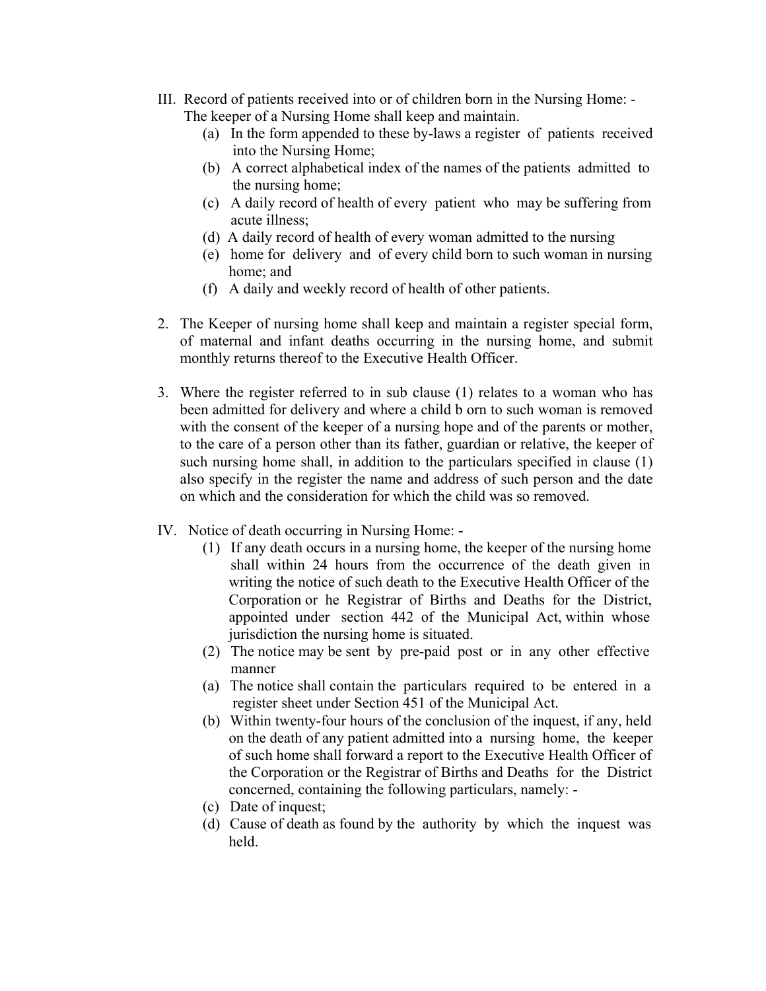- III. Record of patients received into or of children born in the Nursing Home:
	- The keeper of a Nursing Home shall keep and maintain.
		- (a) In the form appended to these by-laws a register of patients received into the Nursing Home;
		- (b) A correct alphabetical index of the names of the patients admitted to the nursing home;
		- (c) A daily record of health of every patient who may be suffering from acute illness;
		- (d) A daily record of health of every woman admitted to the nursing
		- (e) home for delivery and of every child born to such woman in nursing home; and
		- (f) A daily and weekly record of health of other patients.
- 2. The Keeper of nursing home shall keep and maintain a register special form, of maternal and infant deaths occurring in the nursing home, and submit monthly returns thereof to the Executive Health Officer.
- 3. Where the register referred to in sub clause (1) relates to a woman who has been admitted for delivery and where a child b orn to such woman is removed with the consent of the keeper of a nursing hope and of the parents or mother, to the care of a person other than its father, guardian or relative, the keeper of such nursing home shall, in addition to the particulars specified in clause (1) also specify in the register the name and address of such person and the date on which and the consideration for which the child was so removed.
- IV. Notice of death occurring in Nursing Home:
	- (1) If any death occurs in a nursing home, the keeper of the nursing home shall within 24 hours from the occurrence of the death given in writing the notice of such death to the Executive Health Officer of the Corporation or he Registrar of Births and Deaths for the District, appointed under section 442 of the Municipal Act, within whose jurisdiction the nursing home is situated.
	- (2) The notice may be sent by pre-paid post or in any other effective manner
	- (a) The notice shall contain the particulars required to be entered in a register sheet under Section 451 of the Municipal Act.
	- (b) Within twenty-four hours of the conclusion of the inquest, if any, held on the death of any patient admitted into a nursing home, the keeper of such home shall forward a report to the Executive Health Officer of the Corporation or the Registrar of Births and Deaths for the District concerned, containing the following particulars, namely: -
	- (c) Date of inquest;
	- (d) Cause of death as found by the authority by which the inquest was held.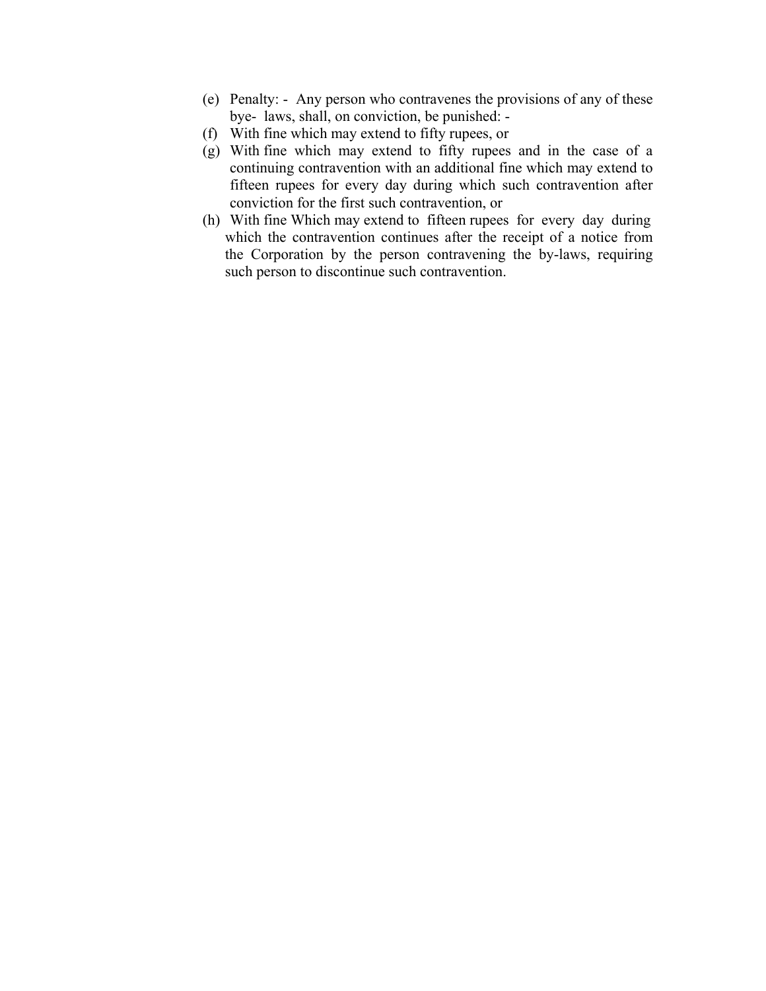- (e) Penalty: Any person who contravenes the provisions of any of these bye- laws, shall, on conviction, be punished: -
- (f) With fine which may extend to fifty rupees, or
- (g) With fine which may extend to fifty rupees and in the case of a continuing contravention with an additional fine which may extend to fifteen rupees for every day during which such contravention after conviction for the first such contravention, or
- (h) With fine Which may extend to fifteen rupees for every day during which the contravention continues after the receipt of a notice from the Corporation by the person contravening the by-laws, requiring such person to discontinue such contravention.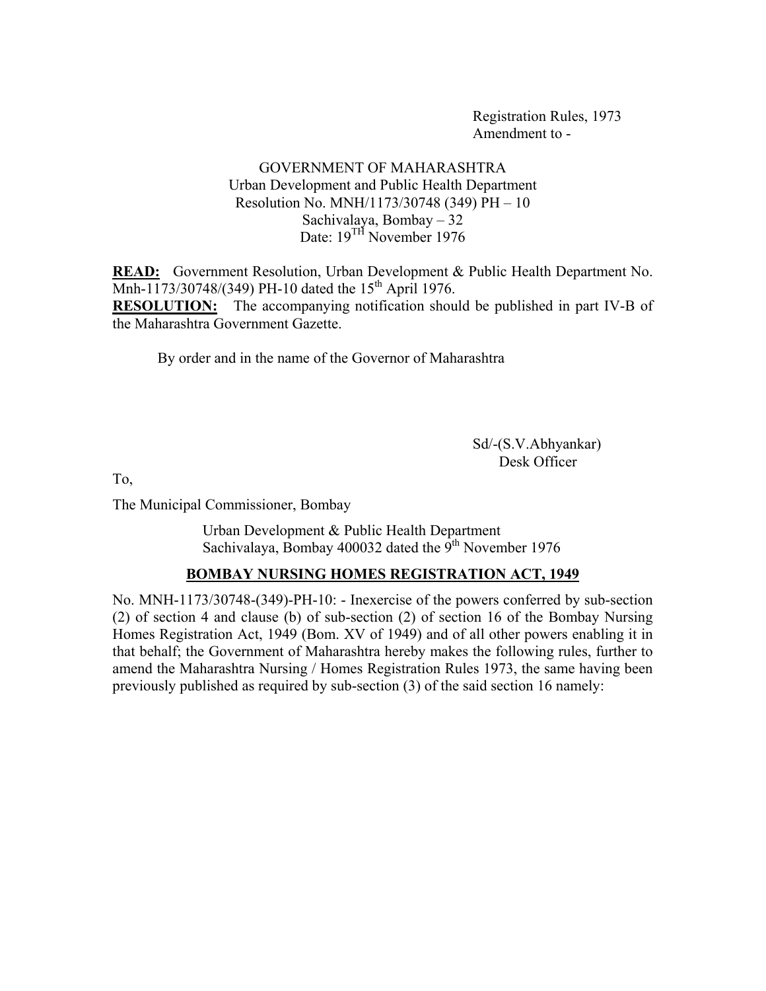Registration Rules, 1973 Amendment to -

# GOVERNMENT OF MAHARASHTRA Urban Development and Public Health Department Resolution No. MNH/1173/30748 (349) PH – 10 Sachivalaya, Bombay – 32 Date: 19<sup>TH</sup> November 1976

**READ:** Government Resolution, Urban Development & Public Health Department No. Mnh-1173/30748/(349) PH-10 dated the 15<sup>th</sup> April 1976. **RESOLUTION:** The accompanying notification should be published in part IV-B of the Maharashtra Government Gazette.

By order and in the name of the Governor of Maharashtra

 Sd/-(S.V.Abhyankar) Desk Officer

To,

The Municipal Commissioner, Bombay

 Urban Development & Public Health Department Sachivalaya, Bombay 400032 dated the  $9<sup>th</sup>$  November 1976

# **BOMBAY NURSING HOMES REGISTRATION ACT, 1949**

No. MNH-1173/30748-(349)-PH-10: - Inexercise of the powers conferred by sub-section (2) of section 4 and clause (b) of sub-section (2) of section 16 of the Bombay Nursing Homes Registration Act, 1949 (Bom. XV of 1949) and of all other powers enabling it in that behalf; the Government of Maharashtra hereby makes the following rules, further to amend the Maharashtra Nursing / Homes Registration Rules 1973, the same having been previously published as required by sub-section (3) of the said section 16 namely: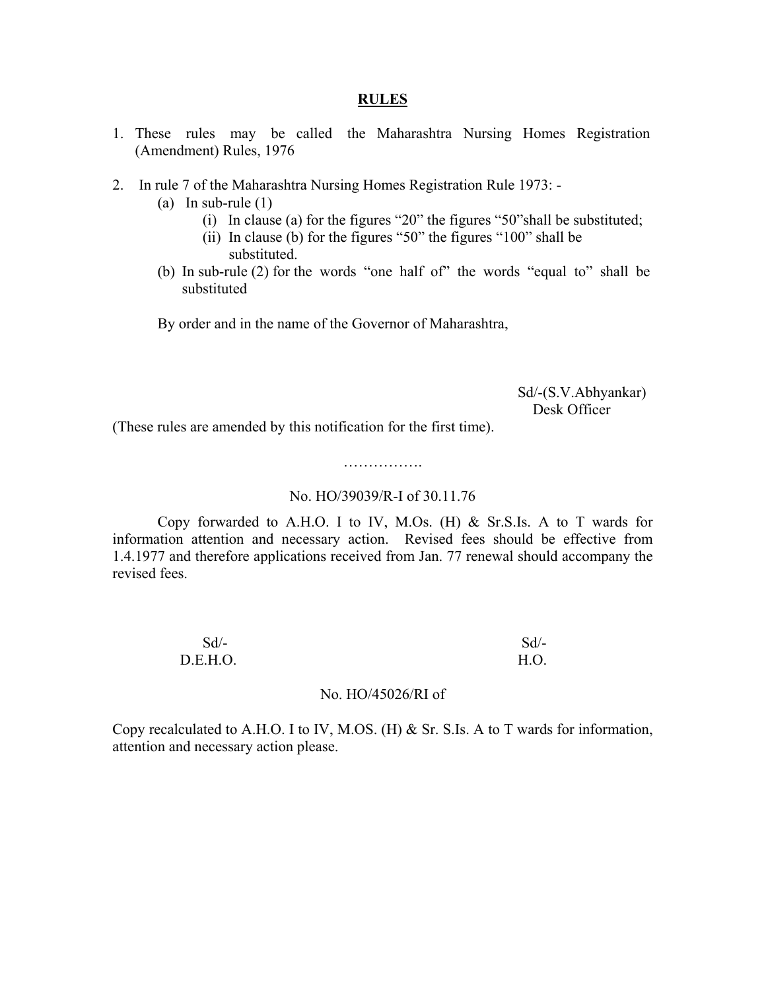#### **RULES**

- 1. These rules may be called the Maharashtra Nursing Homes Registration (Amendment) Rules, 1976
- 2. In rule 7 of the Maharashtra Nursing Homes Registration Rule 1973:
	- (a) In sub-rule (1)
		- (i) In clause (a) for the figures "20" the figures "50"shall be substituted;
		- (ii) In clause (b) for the figures "50" the figures "100" shall be substituted.
	- (b) In sub-rule (2) for the words "one half of" the words "equal to" shall be substituted

By order and in the name of the Governor of Maharashtra,

 Sd/-(S.V.Abhyankar) Desk Officer

(These rules are amended by this notification for the first time).

# …………….

#### No. HO/39039/R-I of 30.11.76

 Copy forwarded to A.H.O. I to IV, M.Os. (H) & Sr.S.Is. A to T wards for information attention and necessary action. Revised fees should be effective from 1.4.1977 and therefore applications received from Jan. 77 renewal should accompany the revised fees.

| $Sd$ /-  | $Sd$ /- |
|----------|---------|
| D.E.H.O. | H.O.    |

#### No. HO/45026/RI of

Copy recalculated to A.H.O. I to IV, M.OS. (H) & Sr. S.Is. A to T wards for information, attention and necessary action please.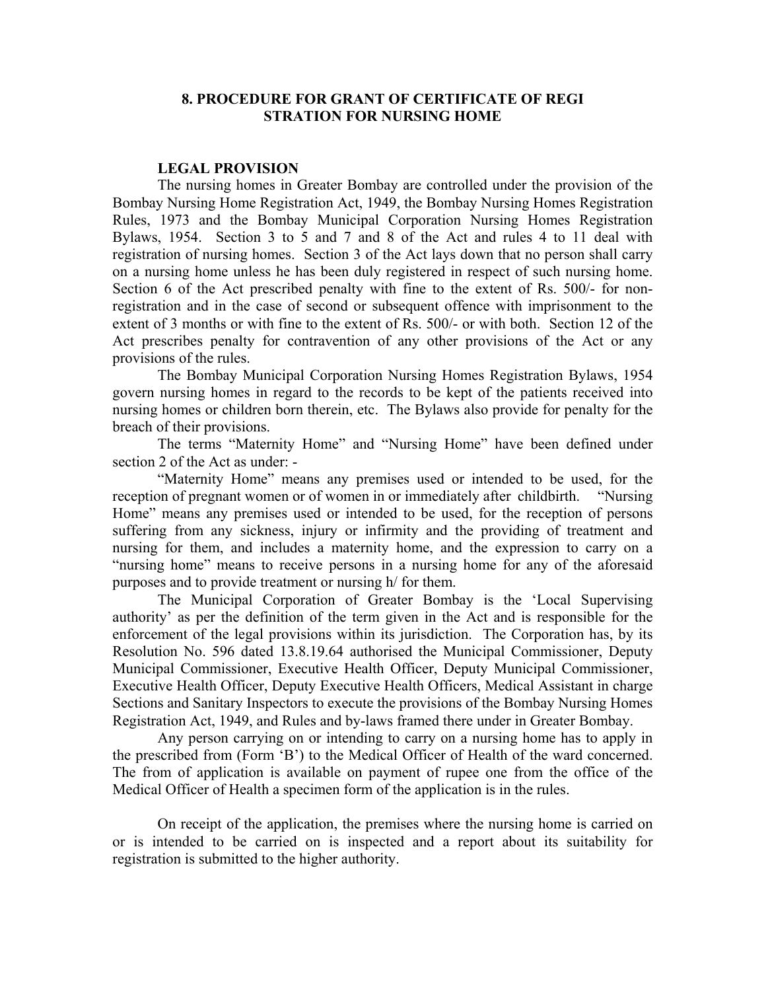### **8. PROCEDURE FOR GRANT OF CERTIFICATE OF REGI STRATION FOR NURSING HOME**

#### **LEGAL PROVISION**

 The nursing homes in Greater Bombay are controlled under the provision of the Bombay Nursing Home Registration Act, 1949, the Bombay Nursing Homes Registration Rules, 1973 and the Bombay Municipal Corporation Nursing Homes Registration Bylaws, 1954. Section 3 to 5 and 7 and 8 of the Act and rules 4 to 11 deal with registration of nursing homes. Section 3 of the Act lays down that no person shall carry on a nursing home unless he has been duly registered in respect of such nursing home. Section 6 of the Act prescribed penalty with fine to the extent of Rs. 500/- for nonregistration and in the case of second or subsequent offence with imprisonment to the extent of 3 months or with fine to the extent of Rs. 500/- or with both. Section 12 of the Act prescribes penalty for contravention of any other provisions of the Act or any provisions of the rules.

 The Bombay Municipal Corporation Nursing Homes Registration Bylaws, 1954 govern nursing homes in regard to the records to be kept of the patients received into nursing homes or children born therein, etc. The Bylaws also provide for penalty for the breach of their provisions.

 The terms "Maternity Home" and "Nursing Home" have been defined under section 2 of the Act as under: -

 "Maternity Home" means any premises used or intended to be used, for the reception of pregnant women or of women in or immediately after childbirth. "Nursing Home" means any premises used or intended to be used, for the reception of persons suffering from any sickness, injury or infirmity and the providing of treatment and nursing for them, and includes a maternity home, and the expression to carry on a "nursing home" means to receive persons in a nursing home for any of the aforesaid purposes and to provide treatment or nursing h/ for them.

 The Municipal Corporation of Greater Bombay is the 'Local Supervising authority' as per the definition of the term given in the Act and is responsible for the enforcement of the legal provisions within its jurisdiction. The Corporation has, by its Resolution No. 596 dated 13.8.19.64 authorised the Municipal Commissioner, Deputy Municipal Commissioner, Executive Health Officer, Deputy Municipal Commissioner, Executive Health Officer, Deputy Executive Health Officers, Medical Assistant in charge Sections and Sanitary Inspectors to execute the provisions of the Bombay Nursing Homes Registration Act, 1949, and Rules and by-laws framed there under in Greater Bombay.

 Any person carrying on or intending to carry on a nursing home has to apply in the prescribed from (Form 'B') to the Medical Officer of Health of the ward concerned. The from of application is available on payment of rupee one from the office of the Medical Officer of Health a specimen form of the application is in the rules.

 On receipt of the application, the premises where the nursing home is carried on or is intended to be carried on is inspected and a report about its suitability for registration is submitted to the higher authority.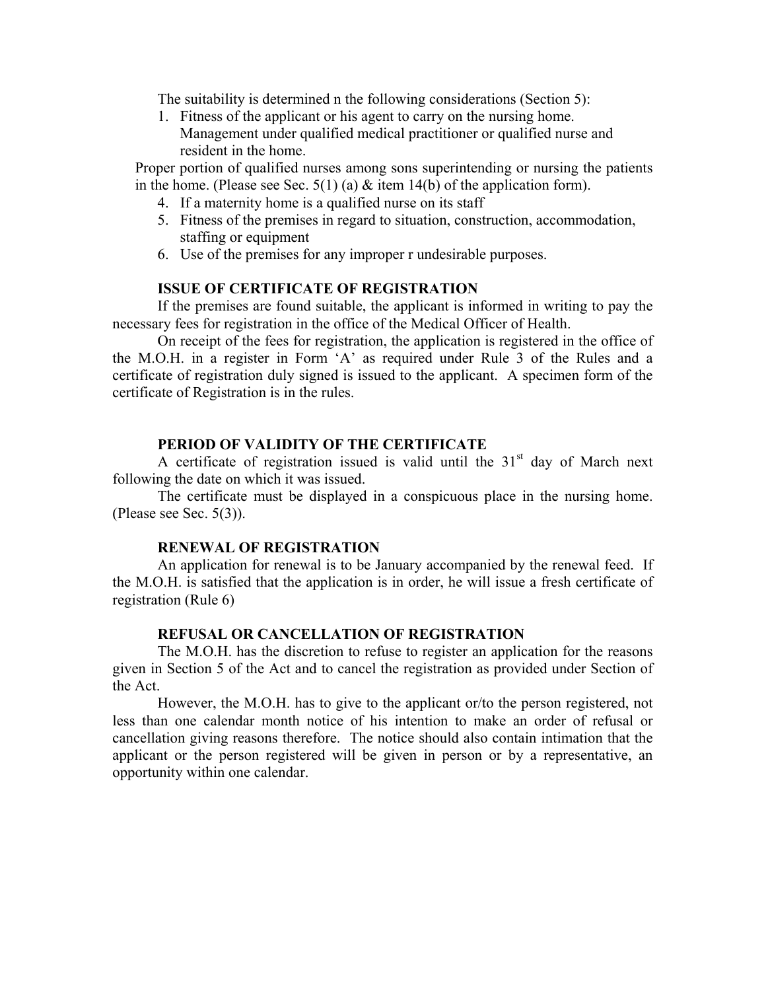The suitability is determined n the following considerations (Section 5):

1. Fitness of the applicant or his agent to carry on the nursing home. Management under qualified medical practitioner or qualified nurse and resident in the home.

 Proper portion of qualified nurses among sons superintending or nursing the patients in the home. (Please see Sec. 5(1) (a)  $\&$  item 14(b) of the application form).

- 4. If a maternity home is a qualified nurse on its staff
- 5. Fitness of the premises in regard to situation, construction, accommodation, staffing or equipment
- 6. Use of the premises for any improper r undesirable purposes.

# **ISSUE OF CERTIFICATE OF REGISTRATION**

 If the premises are found suitable, the applicant is informed in writing to pay the necessary fees for registration in the office of the Medical Officer of Health.

 On receipt of the fees for registration, the application is registered in the office of the M.O.H. in a register in Form 'A' as required under Rule 3 of the Rules and a certificate of registration duly signed is issued to the applicant. A specimen form of the certificate of Registration is in the rules.

### **PERIOD OF VALIDITY OF THE CERTIFICATE**

A certificate of registration issued is valid until the  $31<sup>st</sup>$  day of March next following the date on which it was issued.

 The certificate must be displayed in a conspicuous place in the nursing home. (Please see Sec. 5(3)).

#### **RENEWAL OF REGISTRATION**

 An application for renewal is to be January accompanied by the renewal feed. If the M.O.H. is satisfied that the application is in order, he will issue a fresh certificate of registration (Rule 6)

### **REFUSAL OR CANCELLATION OF REGISTRATION**

 The M.O.H. has the discretion to refuse to register an application for the reasons given in Section 5 of the Act and to cancel the registration as provided under Section of the Act.

 However, the M.O.H. has to give to the applicant or/to the person registered, not less than one calendar month notice of his intention to make an order of refusal or cancellation giving reasons therefore. The notice should also contain intimation that the applicant or the person registered will be given in person or by a representative, an opportunity within one calendar.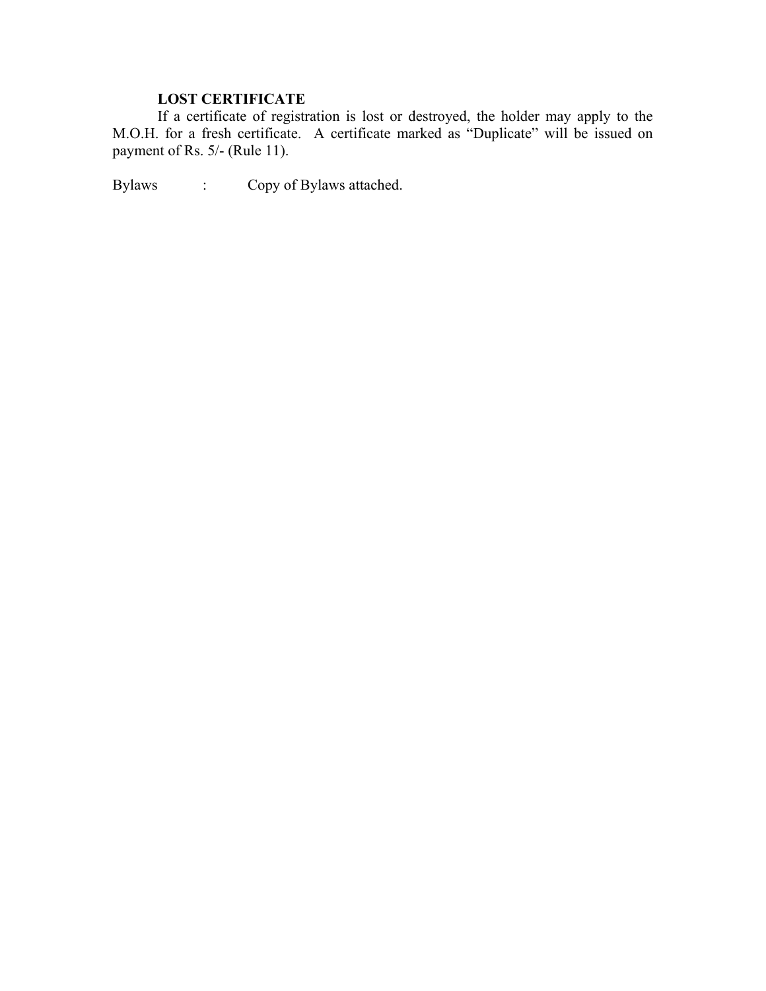# **LOST CERTIFICATE**

 If a certificate of registration is lost or destroyed, the holder may apply to the M.O.H. for a fresh certificate. A certificate marked as "Duplicate" will be issued on payment of Rs. 5/- (Rule 11).

Bylaws : Copy of Bylaws attached.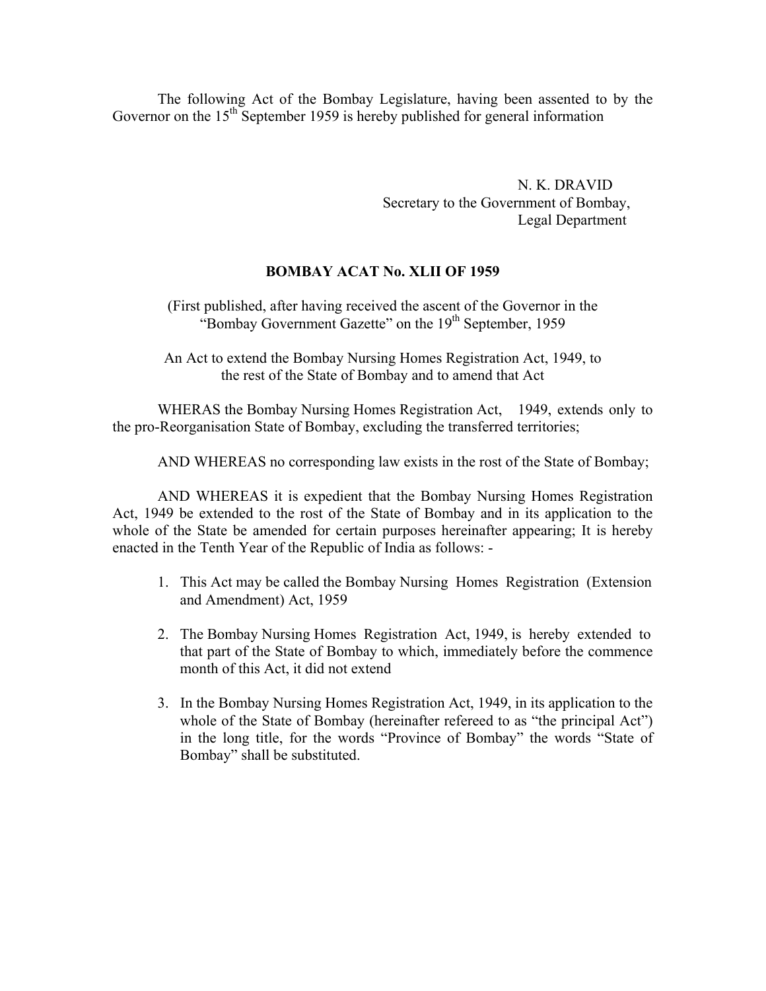The following Act of the Bombay Legislature, having been assented to by the Governor on the  $15<sup>th</sup>$  September 1959 is hereby published for general information

> N. K. DRAVID Secretary to the Government of Bombay, Legal Department

### **BOMBAY ACAT No. XLII OF 1959**

(First published, after having received the ascent of the Governor in the "Bombay Government Gazette" on the 19<sup>th</sup> September, 1959

An Act to extend the Bombay Nursing Homes Registration Act, 1949, to the rest of the State of Bombay and to amend that Act

 WHERAS the Bombay Nursing Homes Registration Act, 1949, extends only to the pro-Reorganisation State of Bombay, excluding the transferred territories;

AND WHEREAS no corresponding law exists in the rost of the State of Bombay;

 AND WHEREAS it is expedient that the Bombay Nursing Homes Registration Act, 1949 be extended to the rost of the State of Bombay and in its application to the whole of the State be amended for certain purposes hereinafter appearing; It is hereby enacted in the Tenth Year of the Republic of India as follows: -

- 1. This Act may be called the Bombay Nursing Homes Registration (Extension and Amendment) Act, 1959
- 2. The Bombay Nursing Homes Registration Act, 1949, is hereby extended to that part of the State of Bombay to which, immediately before the commence month of this Act, it did not extend
- 3. In the Bombay Nursing Homes Registration Act, 1949, in its application to the whole of the State of Bombay (hereinafter refereed to as "the principal Act") in the long title, for the words "Province of Bombay" the words "State of Bombay" shall be substituted.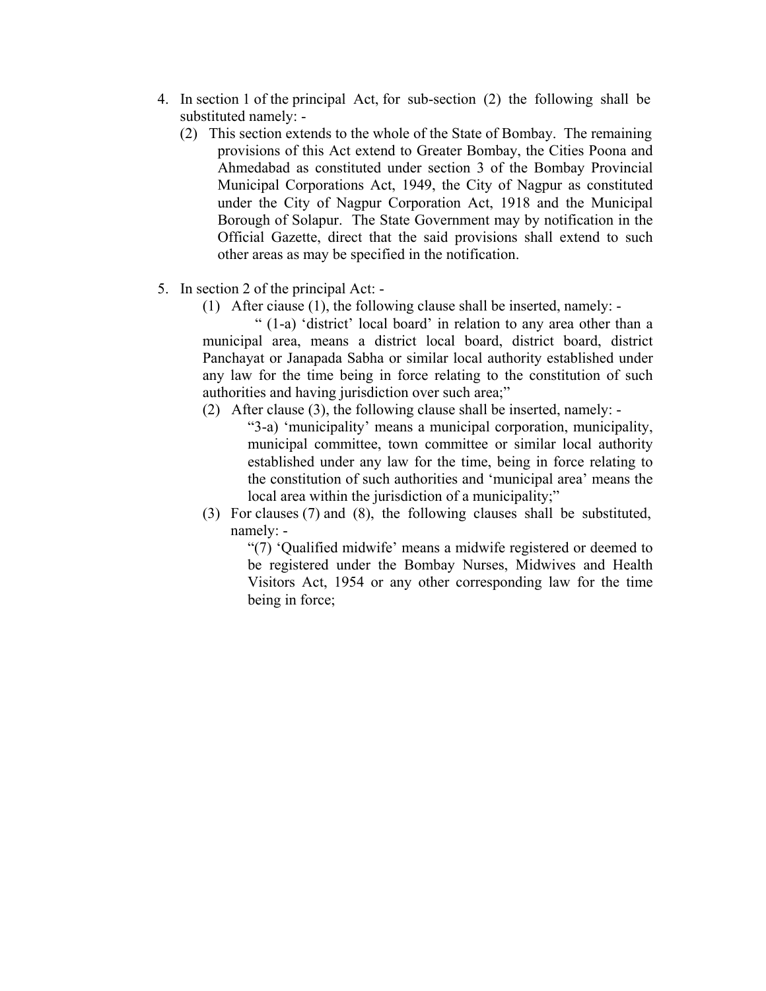- 4. In section 1 of the principal Act, for sub-section (2) the following shall be substituted namely: -
	- (2) This section extends to the whole of the State of Bombay. The remaining provisions of this Act extend to Greater Bombay, the Cities Poona and Ahmedabad as constituted under section 3 of the Bombay Provincial Municipal Corporations Act, 1949, the City of Nagpur as constituted under the City of Nagpur Corporation Act, 1918 and the Municipal Borough of Solapur. The State Government may by notification in the Official Gazette, direct that the said provisions shall extend to such other areas as may be specified in the notification.
- 5. In section 2 of the principal Act:
	- (1) After ciause (1), the following clause shall be inserted, namely: -

 " (1-a) 'district' local board' in relation to any area other than a municipal area, means a district local board, district board, district Panchayat or Janapada Sabha or similar local authority established under any law for the time being in force relating to the constitution of such authorities and having jurisdiction over such area;"

(2) After clause (3), the following clause shall be inserted, namely: -

"3-a) 'municipality' means a municipal corporation, municipality, municipal committee, town committee or similar local authority established under any law for the time, being in force relating to the constitution of such authorities and 'municipal area' means the local area within the jurisdiction of a municipality;"

(3) For clauses (7) and (8), the following clauses shall be substituted, namely: -

"(7) 'Qualified midwife' means a midwife registered or deemed to be registered under the Bombay Nurses, Midwives and Health Visitors Act, 1954 or any other corresponding law for the time being in force;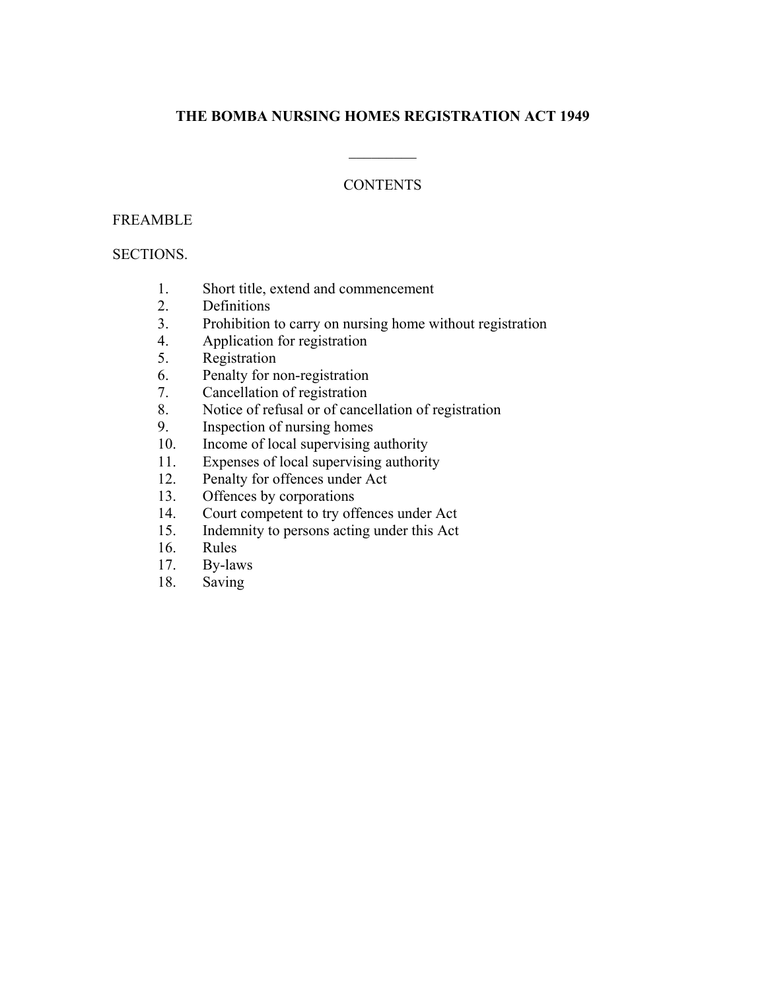# **THE BOMBA NURSING HOMES REGISTRATION ACT 1949**

 $\frac{1}{2}$ 

# **CONTENTS**

### FREAMBLE

### SECTIONS.

- 1. Short title, extend and commencement
- 2. Definitions
- 3. Prohibition to carry on nursing home without registration
- 4. Application for registration
- 5. Registration
- 6. Penalty for non-registration
- 7. Cancellation of registration
- 8. Notice of refusal or of cancellation of registration
- 9. Inspection of nursing homes
- 10. Income of local supervising authority
- 11. Expenses of local supervising authority
- 12. Penalty for offences under Act
- 13. Offences by corporations
- 14. Court competent to try offences under Act
- 15. Indemnity to persons acting under this Act
- 16. Rules
- 17. By-laws
- 18. Saving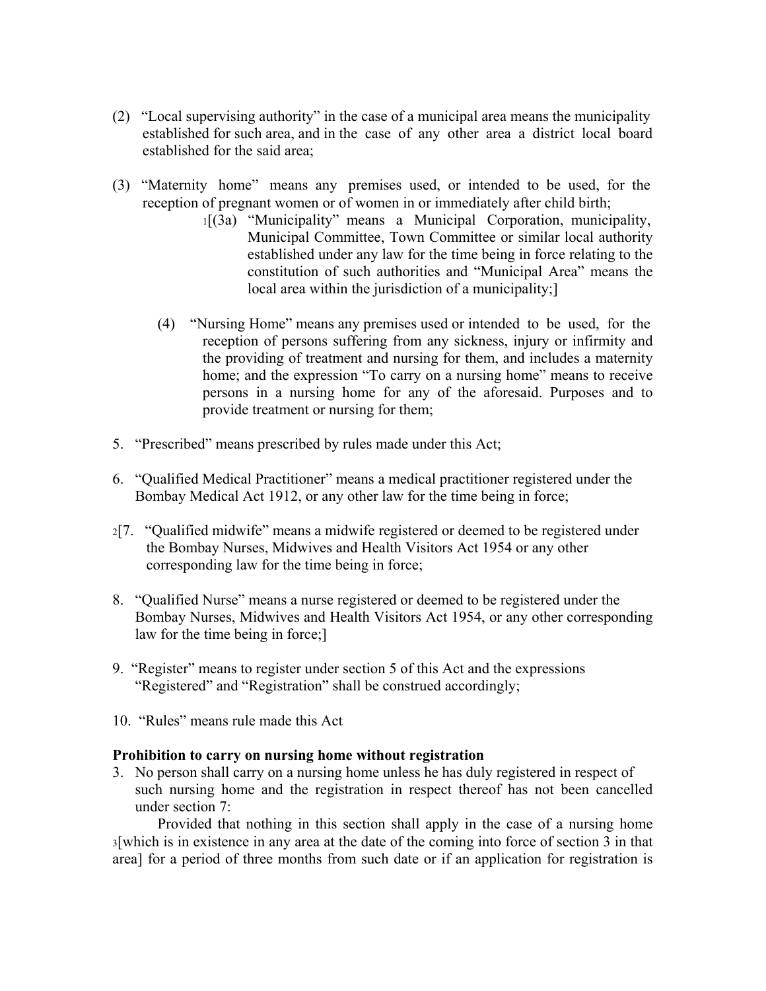- (2) "Local supervising authority" in the case of a municipal area means the municipality established for such area, and in the case of any other area a district local board established for the said area;
- (3) "Maternity home" means any premises used, or intended to be used, for the reception of pregnant women or of women in or immediately after child birth;
	- 1[(3a) "Municipality" means a Municipal Corporation, municipality, Municipal Committee, Town Committee or similar local authority established under any law for the time being in force relating to the constitution of such authorities and "Municipal Area" means the local area within the jurisdiction of a municipality;]
	- (4) "Nursing Home" means any premises used or intended to be used, for the reception of persons suffering from any sickness, injury or infirmity and the providing of treatment and nursing for them, and includes a maternity home; and the expression "To carry on a nursing home" means to receive persons in a nursing home for any of the aforesaid. Purposes and to provide treatment or nursing for them;
- 5. "Prescribed" means prescribed by rules made under this Act;
- 6. "Qualified Medical Practitioner" means a medical practitioner registered under the Bombay Medical Act 1912, or any other law for the time being in force;
- 2[7. "Qualified midwife" means a midwife registered or deemed to be registered under the Bombay Nurses, Midwives and Health Visitors Act 1954 or any other corresponding law for the time being in force;
- 8. "Qualified Nurse" means a nurse registered or deemed to be registered under the Bombay Nurses, Midwives and Health Visitors Act 1954, or any other corresponding law for the time being in force;]
- 9. "Register" means to register under section 5 of this Act and the expressions "Registered" and "Registration" shall be construed accordingly;
- 10. "Rules" means rule made this Act

### **Prohibition to carry on nursing home without registration**

3. No person shall carry on a nursing home unless he has duly registered in respect of such nursing home and the registration in respect thereof has not been cancelled under section 7:

 Provided that nothing in this section shall apply in the case of a nursing home 3[which is in existence in any area at the date of the coming into force of section 3 in that area] for a period of three months from such date or if an application for registration is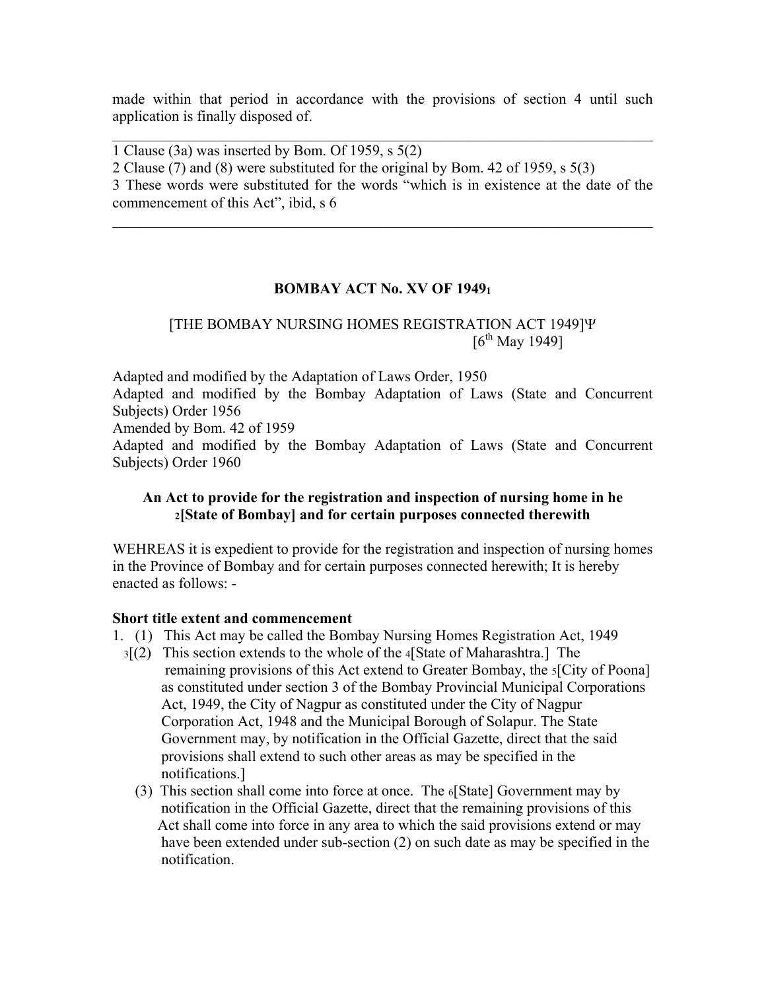made within that period in accordance with the provisions of section 4 until such application is finally disposed of.

 $\mathcal{L}_\text{max}$  , and the contribution of the contribution of the contribution of the contribution of the contribution of the contribution of the contribution of the contribution of the contribution of the contribution of t

1 Clause (3a) was inserted by Bom. Of 1959, s 5(2)

2 Clause (7) and (8) were substituted for the original by Bom. 42 of 1959, s 5(3)

3 These words were substituted for the words "which is in existence at the date of the commencement of this Act", ibid, s 6

 $\mathcal{L}_\text{max}$  , and the contribution of the contribution of the contribution of the contribution of the contribution of the contribution of the contribution of the contribution of the contribution of the contribution of t

# **BOMBAY ACT No. XV OF 19491**

# [THE BOMBAY NURSING HOMES REGISTRATION ACT 1949]Ψ  $[6^{th}$  May 1949]

Adapted and modified by the Adaptation of Laws Order, 1950

Adapted and modified by the Bombay Adaptation of Laws (State and Concurrent Subjects) Order 1956

Amended by Bom. 42 of 1959

Adapted and modified by the Bombay Adaptation of Laws (State and Concurrent Subjects) Order 1960

# **An Act to provide for the registration and inspection of nursing home in he 2[State of Bombay] and for certain purposes connected therewith**

WEHREAS it is expedient to provide for the registration and inspection of nursing homes in the Province of Bombay and for certain purposes connected herewith; It is hereby enacted as follows: -

### **Short title extent and commencement**

- 1. (1) This Act may be called the Bombay Nursing Homes Registration Act, 1949
	- 3[(2) This section extends to the whole of the 4[State of Maharashtra.] The remaining provisions of this Act extend to Greater Bombay, the 5[City of Poona] as constituted under section 3 of the Bombay Provincial Municipal Corporations Act, 1949, the City of Nagpur as constituted under the City of Nagpur Corporation Act, 1948 and the Municipal Borough of Solapur. The State Government may, by notification in the Official Gazette, direct that the said provisions shall extend to such other areas as may be specified in the notifications.]
		- (3) This section shall come into force at once. The 6[State] Government may by notification in the Official Gazette, direct that the remaining provisions of this Act shall come into force in any area to which the said provisions extend or may have been extended under sub-section (2) on such date as may be specified in the notification.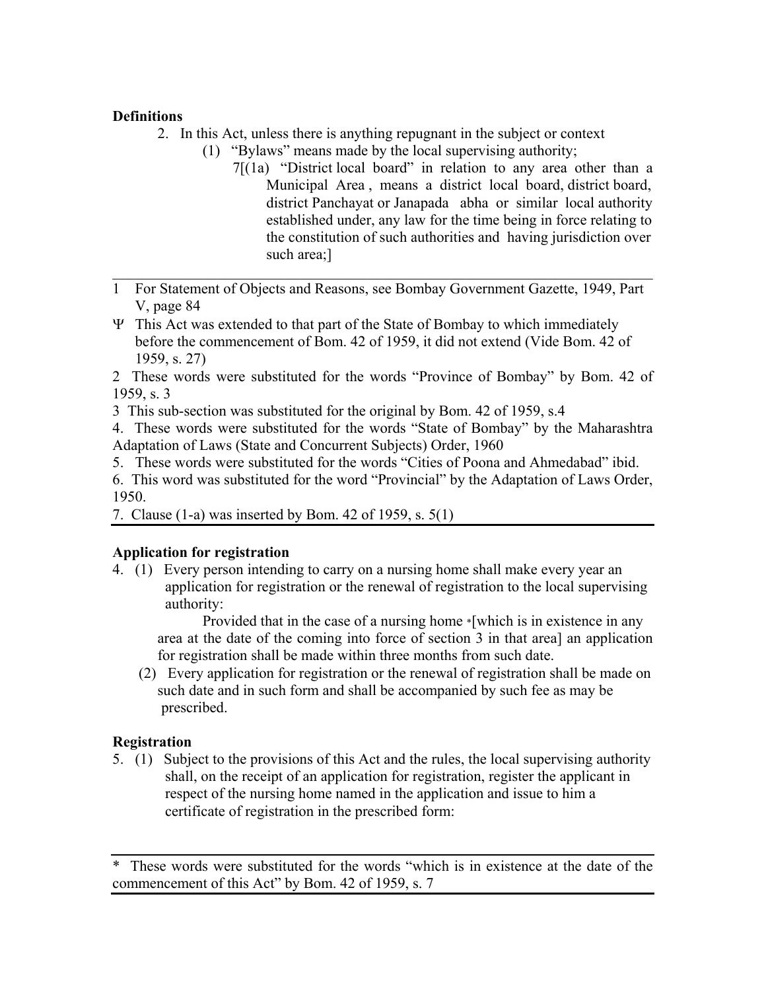# **Definitions**

- 2. In this Act, unless there is anything repugnant in the subject or context
	- (1) "Bylaws" means made by the local supervising authority;
		- 7[(1a) "District local board" in relation to any area other than a Municipal Area , means a district local board, district board, district Panchayat or Janapada abha or similar local authority established under, any law for the time being in force relating to the constitution of such authorities and having jurisdiction over such area;]
- 1 For Statement of Objects and Reasons, see Bombay Government Gazette, 1949, Part V, page 84

 $\mathcal{L}_\text{max}$  , and the contribution of the contribution of the contribution of the contribution of the contribution of the contribution of the contribution of the contribution of the contribution of the contribution of t

Ψ This Act was extended to that part of the State of Bombay to which immediately before the commencement of Bom. 42 of 1959, it did not extend (Vide Bom. 42 of 1959, s. 27)

2 These words were substituted for the words "Province of Bombay" by Bom. 42 of 1959, s. 3

3 This sub-section was substituted for the original by Bom. 42 of 1959, s.4

4. These words were substituted for the words "State of Bombay" by the Maharashtra Adaptation of Laws (State and Concurrent Subjects) Order, 1960

5. These words were substituted for the words "Cities of Poona and Ahmedabad" ibid.

6. This word was substituted for the word "Provincial" by the Adaptation of Laws Order, 1950.

7. Clause (1-a) was inserted by Bom. 42 of 1959, s. 5(1)

# **Application for registration**

4. (1) Every person intending to carry on a nursing home shall make every year an application for registration or the renewal of registration to the local supervising authority:

 Provided that in the case of a nursing home \*[which is in existence in any area at the date of the coming into force of section 3 in that area] an application for registration shall be made within three months from such date.

 (2) Every application for registration or the renewal of registration shall be made on such date and in such form and shall be accompanied by such fee as may be prescribed.

# **Registration**

5. (1) Subject to the provisions of this Act and the rules, the local supervising authority shall, on the receipt of an application for registration, register the applicant in respect of the nursing home named in the application and issue to him a certificate of registration in the prescribed form:

<sup>\*</sup> These words were substituted for the words "which is in existence at the date of the commencement of this Act" by Bom. 42 of 1959, s. 7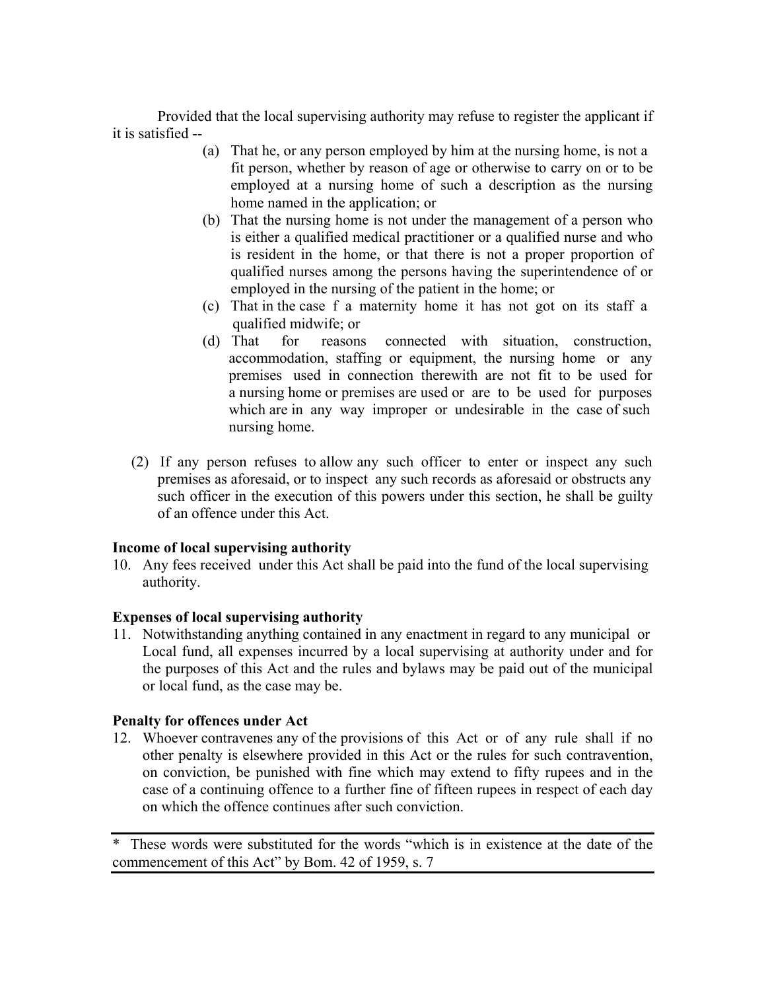Provided that the local supervising authority may refuse to register the applicant if it is satisfied --

- (a) That he, or any person employed by him at the nursing home, is not a fit person, whether by reason of age or otherwise to carry on or to be employed at a nursing home of such a description as the nursing home named in the application; or
- (b) That the nursing home is not under the management of a person who is either a qualified medical practitioner or a qualified nurse and who is resident in the home, or that there is not a proper proportion of qualified nurses among the persons having the superintendence of or employed in the nursing of the patient in the home; or
- (c) That in the case f a maternity home it has not got on its staff a qualified midwife; or
- (d) That for reasons connected with situation, construction, accommodation, staffing or equipment, the nursing home or any premises used in connection therewith are not fit to be used for a nursing home or premises are used or are to be used for purposes which are in any way improper or undesirable in the case of such nursing home.
- (2) If any person refuses to allow any such officer to enter or inspect any such premises as aforesaid, or to inspect any such records as aforesaid or obstructs any such officer in the execution of this powers under this section, he shall be guilty of an offence under this Act.

### **Income of local supervising authority**

10. Any fees received under this Act shall be paid into the fund of the local supervising authority.

# **Expenses of local supervising authority**

11. Notwithstanding anything contained in any enactment in regard to any municipal or Local fund, all expenses incurred by a local supervising at authority under and for the purposes of this Act and the rules and bylaws may be paid out of the municipal or local fund, as the case may be.

# **Penalty for offences under Act**

12. Whoever contravenes any of the provisions of this Act or of any rule shall if no other penalty is elsewhere provided in this Act or the rules for such contravention, on conviction, be punished with fine which may extend to fifty rupees and in the case of a continuing offence to a further fine of fifteen rupees in respect of each day on which the offence continues after such conviction.

\* These words were substituted for the words "which is in existence at the date of the commencement of this Act" by Bom. 42 of 1959, s. 7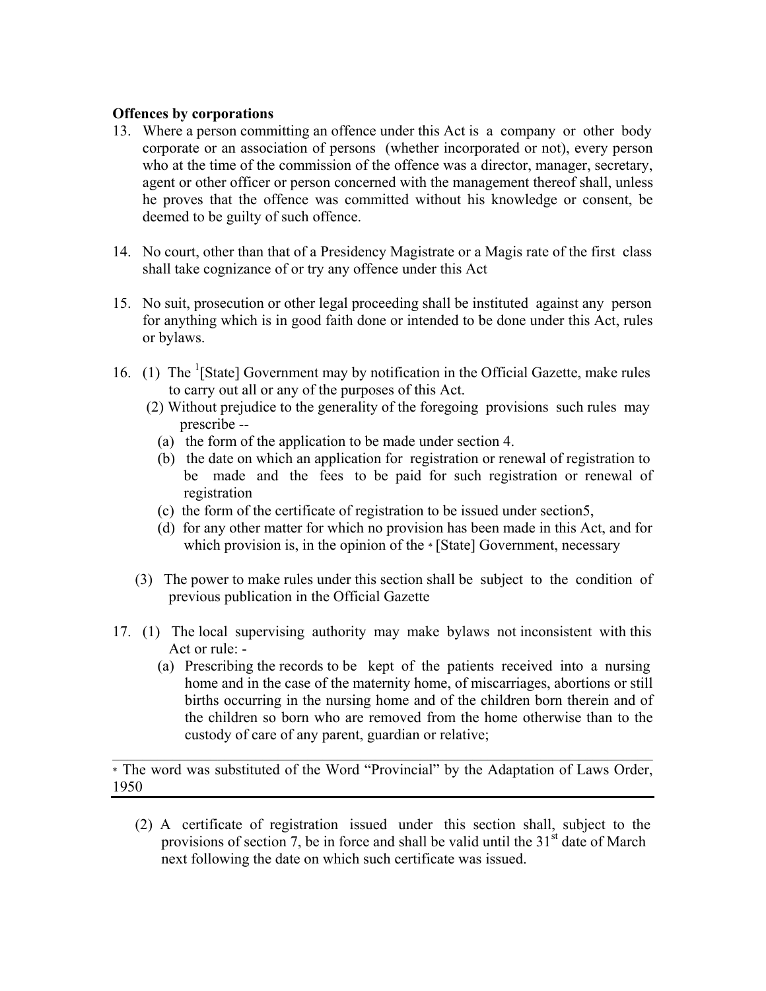### **Offences by corporations**

- 13. Where a person committing an offence under this Act is a company or other body corporate or an association of persons (whether incorporated or not), every person who at the time of the commission of the offence was a director, manager, secretary, agent or other officer or person concerned with the management thereof shall, unless he proves that the offence was committed without his knowledge or consent, be deemed to be guilty of such offence.
- 14. No court, other than that of a Presidency Magistrate or a Magis rate of the first class shall take cognizance of or try any offence under this Act
- 15. No suit, prosecution or other legal proceeding shall be instituted against any person for anything which is in good faith done or intended to be done under this Act, rules or bylaws.
- 16. (1) The  $<sup>1</sup>[State] Government may by notification in the Official Gazette, make rules$ </sup> to carry out all or any of the purposes of this Act.
	- (2) Without prejudice to the generality of the foregoing provisions such rules may prescribe --
		- (a) the form of the application to be made under section 4.
		- (b) the date on which an application for registration or renewal of registration to be made and the fees to be paid for such registration or renewal of registration
		- (c) the form of the certificate of registration to be issued under section5,
		- (d) for any other matter for which no provision has been made in this Act, and for which provision is, in the opinion of the \* [State] Government, necessary
	- (3) The power to make rules under this section shall be subject to the condition of previous publication in the Official Gazette
- 17. (1) The local supervising authority may make bylaws not inconsistent with this Act or rule: -
	- (a) Prescribing the records to be kept of the patients received into a nursing home and in the case of the maternity home, of miscarriages, abortions or still births occurring in the nursing home and of the children born therein and of the children so born who are removed from the home otherwise than to the custody of care of any parent, guardian or relative;

\* The word was substituted of the Word "Provincial" by the Adaptation of Laws Order, 1950

 $\mathcal{L}_\text{max} = \mathcal{L}_\text{max} = \mathcal{L}_\text{max} = \mathcal{L}_\text{max} = \mathcal{L}_\text{max} = \mathcal{L}_\text{max} = \mathcal{L}_\text{max} = \mathcal{L}_\text{max} = \mathcal{L}_\text{max} = \mathcal{L}_\text{max} = \mathcal{L}_\text{max} = \mathcal{L}_\text{max} = \mathcal{L}_\text{max} = \mathcal{L}_\text{max} = \mathcal{L}_\text{max} = \mathcal{L}_\text{max} = \mathcal{L}_\text{max} = \mathcal{L}_\text{max} = \mathcal{$ 

 (2) A certificate of registration issued under this section shall, subject to the provisions of section 7, be in force and shall be valid until the  $31<sup>st</sup>$  date of March next following the date on which such certificate was issued.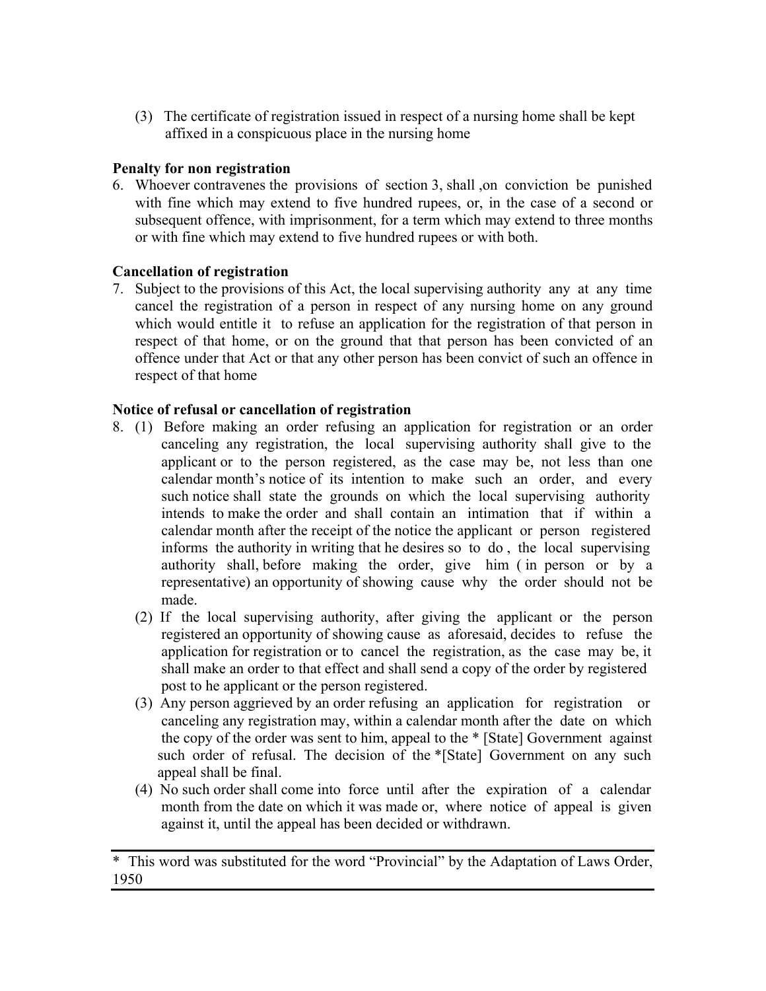(3) The certificate of registration issued in respect of a nursing home shall be kept affixed in a conspicuous place in the nursing home

# **Penalty for non registration**

6. Whoever contravenes the provisions of section 3, shall ,on conviction be punished with fine which may extend to five hundred rupees, or, in the case of a second or subsequent offence, with imprisonment, for a term which may extend to three months or with fine which may extend to five hundred rupees or with both.

# **Cancellation of registration**

7. Subject to the provisions of this Act, the local supervising authority any at any time cancel the registration of a person in respect of any nursing home on any ground which would entitle it to refuse an application for the registration of that person in respect of that home, or on the ground that that person has been convicted of an offence under that Act or that any other person has been convict of such an offence in respect of that home

# **Notice of refusal or cancellation of registration**

- 8. (1) Before making an order refusing an application for registration or an order canceling any registration, the local supervising authority shall give to the applicant or to the person registered, as the case may be, not less than one calendar month's notice of its intention to make such an order, and every such notice shall state the grounds on which the local supervising authority intends to make the order and shall contain an intimation that if within a calendar month after the receipt of the notice the applicant or person registered informs the authority in writing that he desires so to do , the local supervising authority shall, before making the order, give him ( in person or by a representative) an opportunity of showing cause why the order should not be made.
	- (2) If the local supervising authority, after giving the applicant or the person registered an opportunity of showing cause as aforesaid, decides to refuse the application for registration or to cancel the registration, as the case may be, it shall make an order to that effect and shall send a copy of the order by registered post to he applicant or the person registered.
	- (3) Any person aggrieved by an order refusing an application for registration or canceling any registration may, within a calendar month after the date on which the copy of the order was sent to him, appeal to the \* [State] Government against such order of refusal. The decision of the \*[State] Government on any such appeal shall be final.
	- (4) No such order shall come into force until after the expiration of a calendar month from the date on which it was made or, where notice of appeal is given against it, until the appeal has been decided or withdrawn.

<sup>\*</sup> This word was substituted for the word "Provincial" by the Adaptation of Laws Order, 1950